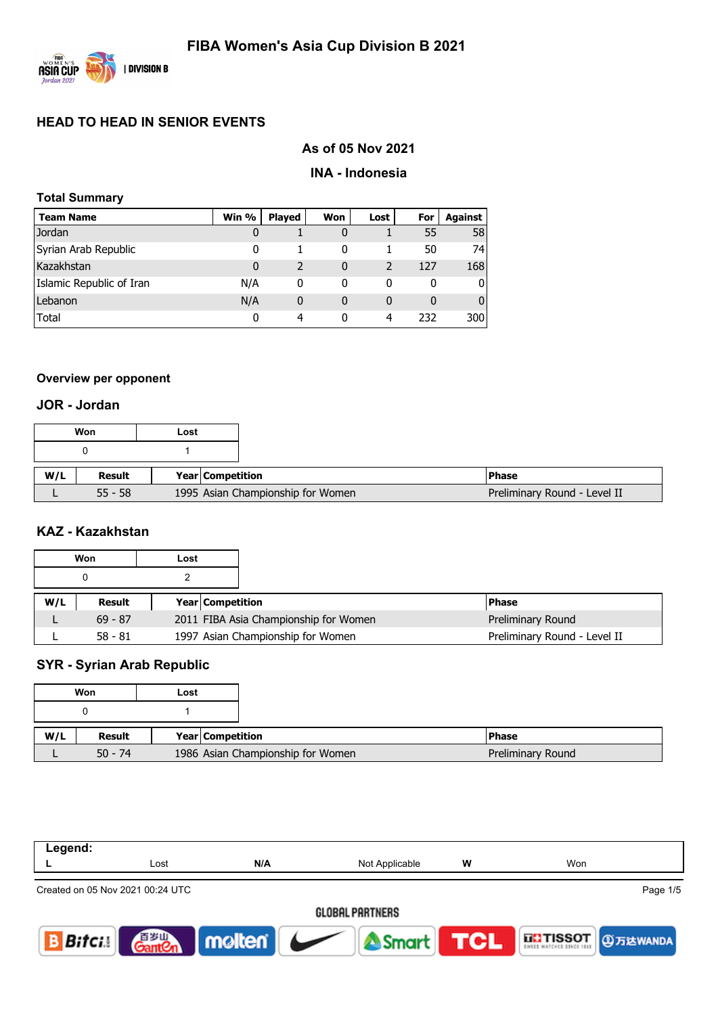

# **As of 05 Nov 2021**

#### **INA - Indonesia**

| <b>Total Summary</b>     |         |               |     |      |     |                |  |  |  |
|--------------------------|---------|---------------|-----|------|-----|----------------|--|--|--|
| <b>Team Name</b>         | Win $%$ | <b>Played</b> | Won | Lost | For | <b>Against</b> |  |  |  |
| Jordan                   | 0       |               |     |      | 55  | 58             |  |  |  |
| Syrian Arab Republic     | 0       |               | 0   |      | 50  | 74             |  |  |  |
| Kazakhstan               | 0       | 2             | 0   | 2    | 127 | 168            |  |  |  |
| Islamic Republic of Iran | N/A     | 0             | 0   | 0    | 0   | $\overline{0}$ |  |  |  |
| Lebanon                  | N/A     | 0             | 0   | 0    | 0   | $\overline{0}$ |  |  |  |
| <b>Total</b>             | 0       | 4             | 0   | 4    | 232 | 300            |  |  |  |

## **Overview per opponent**

## **JOR - Jordan**

|     | Won       | Lost |                  |                                   |                              |
|-----|-----------|------|------------------|-----------------------------------|------------------------------|
|     |           |      |                  |                                   |                              |
| W/L | Result    |      | Year Competition |                                   | <b>IPhase</b>                |
|     | $55 - 58$ |      |                  | 1995 Asian Championship for Women | Preliminary Round - Level II |

#### **KAZ - Kazakhstan**

|     | Won       | Lost |                                       |                   |
|-----|-----------|------|---------------------------------------|-------------------|
|     | 0         |      |                                       |                   |
| W/L | Result    |      | <b>Year Competition</b>               | <b>IPhase</b>     |
|     | $69 - 87$ |      |                                       |                   |
|     |           |      | 2011 FIBA Asia Championship for Women | Preliminary Round |

# **SYR - Syrian Arab Republic**

|     | Won       | Lost                              |  |
|-----|-----------|-----------------------------------|--|
|     |           |                                   |  |
| W/L | Result    | Year Competition                  |  |
|     | $50 - 74$ | 1986 Asian Championship for Women |  |

| Legend:      |                                  |          |                |            |                     |  |  |  |  |  |  |
|--------------|----------------------------------|----------|----------------|------------|---------------------|--|--|--|--|--|--|
|              | Lost                             | N/A      | Not Applicable | w          | Won                 |  |  |  |  |  |  |
|              | Created on 05 Nov 2021 00:24 UTC |          |                |            | Page 1/5            |  |  |  |  |  |  |
|              | GLOBAL PARTNERS                  |          |                |            |                     |  |  |  |  |  |  |
| <b>Bitci</b> | 自罗山                              | molten v | Smart          | <b>TCL</b> | THE TISSOT 9万达WANDA |  |  |  |  |  |  |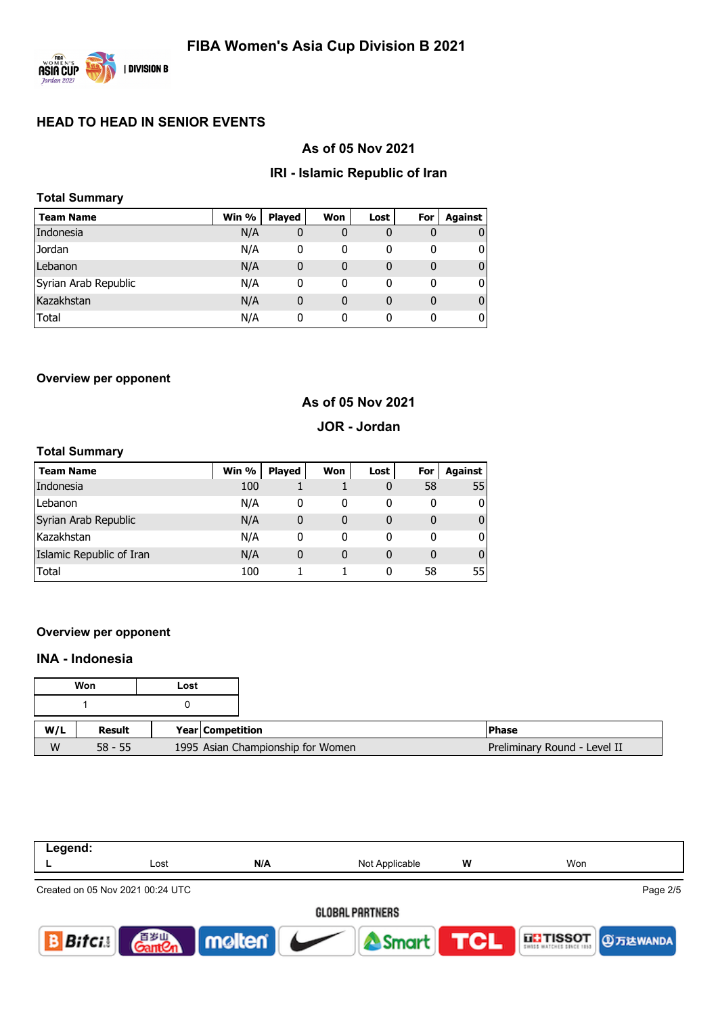

## **As of 05 Nov 2021**

#### **IRI - Islamic Republic of Iran**

| <b>Total Summary</b> |       |               |     |      |     |         |
|----------------------|-------|---------------|-----|------|-----|---------|
| Team Name            | Win % | <b>Played</b> | Won | Lost | For | Against |
| Indonesia            | N/A   | 0             | 0   | 0    | 0   |         |
| Jordan               | N/A   | 0             | 0   | 0    | 0   | 0       |
| Lebanon              | N/A   | 0             | 0   | 0    | 0   | 0       |
| Syrian Arab Republic | N/A   | 0             | 0   | 0    | 0   | 0       |
| Kazakhstan           | N/A   | 0             | 0   | 0    | 0   | 0       |
| <b>Total</b>         | N/A   | 0             | 0   | 0    | 0   | 0       |

#### **Overview per opponent**

## **As of 05 Nov 2021**

#### **JOR - Jordan**

#### **Total Summary**

| <b>Team Name</b>         | Win % | <b>Played</b> | Won      | Lost | For | Against      |
|--------------------------|-------|---------------|----------|------|-----|--------------|
| Indonesia                | 100   |               |          | 0    | 58  | 55           |
| Lebanon                  | N/A   | 0             | 0        | 0    | 0   | 0            |
| Syrian Arab Republic     | N/A   | 0             | 0        | 0    | 0   | $\mathbf{0}$ |
| Kazakhstan               | N/A   | 0             | 0        | 0    | 0   | 0            |
| Islamic Republic of Iran | N/A   | 0             | $\Omega$ | 0    | 0   | $\mathbf{0}$ |
| <b>Total</b>             | 100   |               |          | 0    | 58  | 55           |

#### **Overview per opponent**

# **INA - Indonesia**

|     | Won       | Lost |                                   |                              |
|-----|-----------|------|-----------------------------------|------------------------------|
|     |           |      |                                   |                              |
| W/L | Result    |      | <b>Year Competition</b>           | <b>Phase</b>                 |
| W   | $58 - 55$ |      | 1995 Asian Championship for Women | Preliminary Round - Level II |

| Legend:       |                                  |        |                |     |                            |  |  |  |  |  |  |
|---------------|----------------------------------|--------|----------------|-----|----------------------------|--|--|--|--|--|--|
|               | Lost                             | N/A    | Not Applicable | W   | Won                        |  |  |  |  |  |  |
|               | Created on 05 Nov 2021 00:24 UTC |        |                |     | Page 2/5                   |  |  |  |  |  |  |
|               | <b>GLOBAL PARTNERS</b>           |        |                |     |                            |  |  |  |  |  |  |
| <b>Bifcis</b> | 百岁山                              | molten | Smart          | TCL | <b>THE TISSOT 3万达WANDA</b> |  |  |  |  |  |  |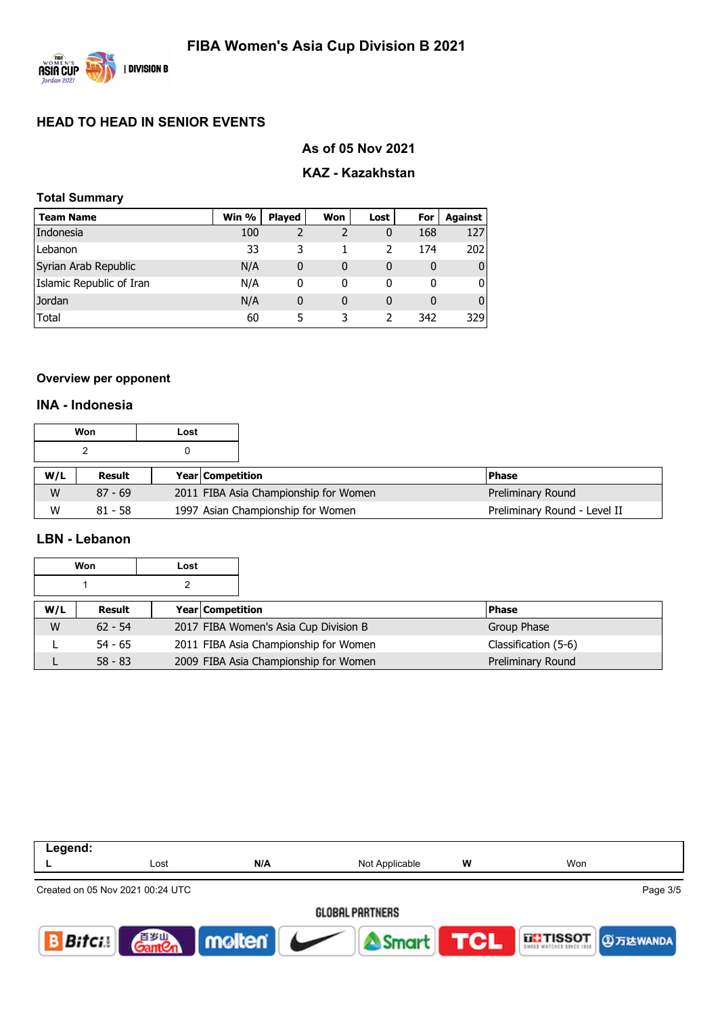

# **As of 05 Nov 2021**

# **KAZ - Kazakhstan**

| <b>Total Summary</b>     |       |               |     |      |     |                |  |  |  |
|--------------------------|-------|---------------|-----|------|-----|----------------|--|--|--|
| <b>Team Name</b>         | Win % | <b>Played</b> | Won | Lost | For | <b>Against</b> |  |  |  |
| Indonesia                | 100   | 2             |     | 0    | 168 | 127            |  |  |  |
| Lebanon                  | 33    | 3             |     | 2    | 174 | 202            |  |  |  |
| Syrian Arab Republic     | N/A   | 0             | 0   | 0    | 0   | 0              |  |  |  |
| Islamic Republic of Iran | N/A   | 0             | 0   | 0    | 0   | O              |  |  |  |
| Jordan                   | N/A   | 0             | 0   | 0    | 0   | 0              |  |  |  |
| <b>Total</b>             | 60    | 5             | 3   |      | 342 | 329            |  |  |  |

### **Overview per opponent**

## **INA - Indonesia**

|     | Won       | Lost |                                       |                              |
|-----|-----------|------|---------------------------------------|------------------------------|
|     |           |      |                                       |                              |
| W/L | Result    |      | <b>Year Competition</b>               | <b>Phase</b>                 |
| W   | $87 - 69$ |      | 2011 FIBA Asia Championship for Women | Preliminary Round            |
| W   | $81 - 58$ |      | 1997 Asian Championship for Women     | Preliminary Round - Level II |

#### **LBN - Lebanon**

|     | Won       | Lost |                                       |                      |  |
|-----|-----------|------|---------------------------------------|----------------------|--|
|     |           |      |                                       |                      |  |
| W/L | Result    |      | <b>Year Competition</b>               | <b>Phase</b>         |  |
| W   | $62 - 54$ |      | 2017 FIBA Women's Asia Cup Division B | Group Phase          |  |
|     | $54 - 65$ |      | 2011 FIBA Asia Championship for Women | Classification (5-6) |  |
|     | $58 - 83$ |      | 2009 FIBA Asia Championship for Women | Preliminary Round    |  |

| Legend:  |                                  |        |                        |            |                     |
|----------|----------------------------------|--------|------------------------|------------|---------------------|
|          | Lost                             | N/A    | Not Applicable         | w          | Won                 |
|          | Created on 05 Nov 2021 00:24 UTC |        |                        |            | Page 3/5            |
|          |                                  |        | <b>GLOBAL PARTNERS</b> |            |                     |
| $B$ ifci | <b>Gram</b><br>Gant Cn           | molten | Smart                  | <b>TCL</b> | THE TISSOT 9万达WANDA |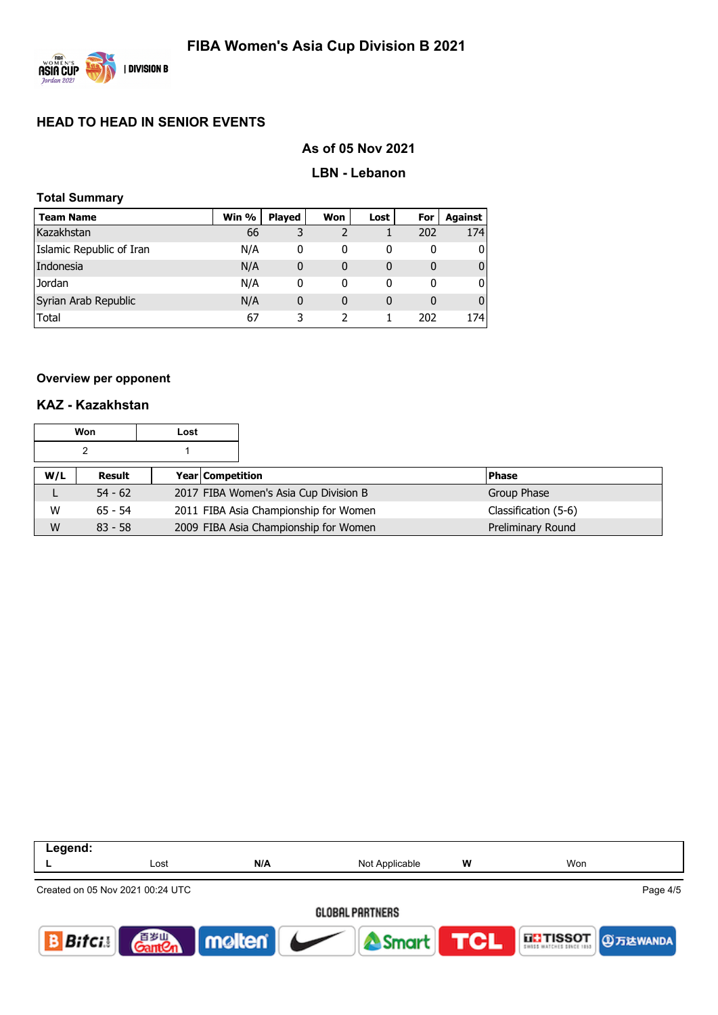

#### **As of 05 Nov 2021**

#### **LBN - Lebanon**

| <b>Total Summary</b> |  |
|----------------------|--|
|----------------------|--|

| <b>Team Name</b>         | Win % | <b>Played</b> | Won | Lost | For | Against      |
|--------------------------|-------|---------------|-----|------|-----|--------------|
| Kazakhstan               | 66    | 3             |     |      | 202 | 174          |
| Islamic Republic of Iran | N/A   | 0             | 0   | 0    | 0   | 0            |
| Indonesia                | N/A   | 0             | 0   | 0    | 0   | $\mathbf{0}$ |
| Jordan                   | N/A   | 0             | 0   | 0    | 0   | 0            |
| Syrian Arab Republic     | N/A   | 0             | 0   | 0    | 0   | $\mathbf{0}$ |
| Total                    | 67    |               |     |      | 202 | 174          |

#### **Overview per opponent**

## **KAZ - Kazakhstan**

|     | Won       | Lost |                                       |                      |
|-----|-----------|------|---------------------------------------|----------------------|
|     |           |      |                                       |                      |
| W/L | Result    |      | <b>Year Competition</b>               | <b>Phase</b>         |
| ட   | $54 - 62$ |      | 2017 FIBA Women's Asia Cup Division B | Group Phase          |
| W   | $65 - 54$ |      | 2011 FIBA Asia Championship for Women | Classification (5-6) |
| W   | $83 - 58$ |      | 2009 FIBA Asia Championship for Women | Preliminary Round    |